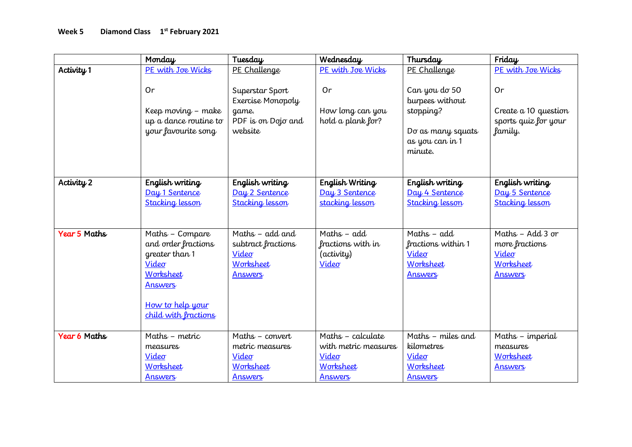|                     | Monday                 | Tuesday                | Wednesday            | Thursday               | Friday                 |
|---------------------|------------------------|------------------------|----------------------|------------------------|------------------------|
| Activity 1          | PE with Joe Wicks      | PE Challenge           | PE with Joe Wicks    | PE Challenge           | PE with Joe Wicks      |
|                     |                        |                        |                      |                        |                        |
|                     | 0r                     | Superstar Sport        | Or                   | Can you do 50          | Or                     |
|                     |                        | Exercise Monopoly      |                      | burpees without        |                        |
|                     | Keep moving - make     | game.                  | How long can you     | stopping?              | Create a 10 question   |
|                     | up a dance routine to  | PDF is on Dojo and     | hold a plank for?    |                        | sports quiz for your   |
|                     | your favourite song    | website                |                      | Do as many squats      | family.                |
|                     |                        |                        |                      | as you can in 1        |                        |
|                     |                        |                        |                      | minute.                |                        |
|                     |                        |                        |                      |                        |                        |
| Activity 2          | English writing        | English writing        | English Writing      | English writing        | English writing        |
|                     | Day 1 Sentence         | Day 2 Sentence         | Day 3 Sentence       | Day 4 Sentence         | Day 5 Sentence         |
|                     | <b>Stacking lesson</b> | <b>Stacking lesson</b> | stacking lesson      | <b>Stacking lesson</b> | <b>Stacking lesson</b> |
|                     |                        |                        |                      |                        |                        |
|                     |                        |                        |                      |                        |                        |
| <b>Year 5 Maths</b> | Maths - Compare        | Maths - add and        | Maths $-$ add        | Maths $-$ add          | Maths - Add 3 or       |
|                     | and order fractions    | subtract fractions     | fractions with in    | fractions within 1     | more fractions         |
|                     | greater than 1         | Video                  | (activity)           | Video                  | Video                  |
|                     | Video                  | Worksheet              | Video                | Worksheet              | Worksheet              |
|                     | Worksheet              | <b>Answers</b>         |                      | Answers                | <b>Answers</b>         |
|                     | <b>Answers</b>         |                        |                      |                        |                        |
|                     |                        |                        |                      |                        |                        |
|                     | How to help your       |                        |                      |                        |                        |
|                     | child with fractions   |                        |                      |                        |                        |
| Year 6 Maths        | Maths - metric         | Maths - convert        | Maths - calculate    | Maths - miles and      | Maths - imperial       |
|                     | measures               | metric measures        | with metric measures | kilometres             | measures               |
|                     | Video                  | Video                  | Video                | Video                  | Worksheet              |
|                     | Worksheet              | Worksheet              | Worksheet            | Worksheet              | Answers                |
|                     | <b>Answers</b>         | <b>Answers</b>         | <b>Answers</b>       | <b>Answers</b>         |                        |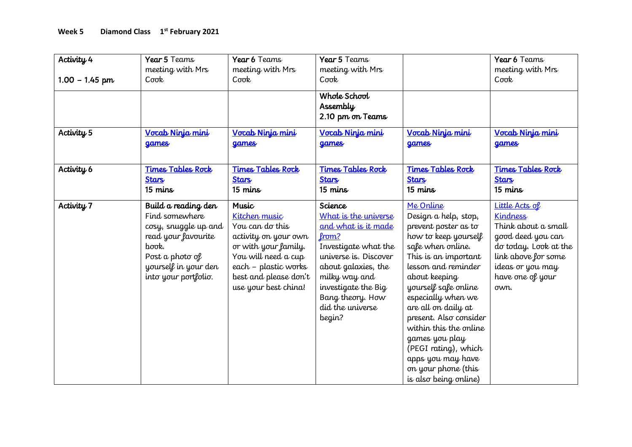| Activity 4<br>$1.00 - 1.45$ pm<br>Activity <sub>5</sub> | Year 5 Teams<br>meeting with Mrs<br>$C$ <sub>o</sub> $\sigma$ <sub><math>k</math></sub><br>Vocab Ninja mini                                                      | Year 6 Teams<br>meeting with Mrs<br>$C$ or $R$<br>Vocab Ninja mini                                                                                                                               | Year 5 Teams<br>meeting with Mrs<br>$C$ $\sigma$ $\sigma$ $\mathbf{k}$<br>Whole School<br>Assembly<br>2.10 pm on Teams<br>Vocab Ninja mini                                                                                        | Vocab Ninja mini                                                                                                                                                                                                                                                                                                                                                                                               | Year 6 Teams<br>meeting with Mrs<br>Cook<br>Vocab Ninja mini                                                                                                                  |
|---------------------------------------------------------|------------------------------------------------------------------------------------------------------------------------------------------------------------------|--------------------------------------------------------------------------------------------------------------------------------------------------------------------------------------------------|-----------------------------------------------------------------------------------------------------------------------------------------------------------------------------------------------------------------------------------|----------------------------------------------------------------------------------------------------------------------------------------------------------------------------------------------------------------------------------------------------------------------------------------------------------------------------------------------------------------------------------------------------------------|-------------------------------------------------------------------------------------------------------------------------------------------------------------------------------|
|                                                         | <b>games</b>                                                                                                                                                     | games                                                                                                                                                                                            | games                                                                                                                                                                                                                             | <b>games</b>                                                                                                                                                                                                                                                                                                                                                                                                   | <b>games</b>                                                                                                                                                                  |
| Activity 6                                              | <b>Times Tables Rock</b><br><b>Stars</b><br>15 mins                                                                                                              | <b>Times Tables Rock</b><br><b>Stars</b><br>15 mins                                                                                                                                              | <b>Times Tables Rock</b><br><b>Stars</b><br>15 mins                                                                                                                                                                               | <b>Times Tables Rock</b><br><b>Stars</b><br>15 mins                                                                                                                                                                                                                                                                                                                                                            | <b>Times Tables Rock</b><br><b>Stars</b><br>15 mins                                                                                                                           |
| Activity 7                                              | Build a reading den<br>Find somewhere<br>cosy, snuggle up and<br>read your favourite<br>book.<br>Post a photo of<br>yourself in your den<br>into your portfolio. | <b>Music</b><br>Kitchen music<br>You can do this<br>activity on your own<br>or with your family.<br>You will need a cup<br>each - plastic works<br>best and please don't<br>use your best china! | Science<br>What is the universe<br>and what is it made<br>from?<br>Investigate what the<br>universe is. Discover<br>about galaxies, the<br>milky way and<br>investigate the Big<br>Bang theory. How<br>did the universe<br>begin? | Me Online<br>Design a help, stop,<br>prevent poster as to<br>how to keep yourself<br>safe when online.<br>This is an important<br>lesson and reminder<br>about keeping<br>yourself safe online<br>especially when we<br>are all on daily at<br>present. Also consider<br>within this the online<br>games you play<br>(PEGI rating), which<br>apps you may have<br>on your phone (this<br>is also being online) | Little Acts of<br><b>Kindness</b><br>Think about a small<br>good deed you can<br>do today. Look at the<br>link above for some<br>ideas or you may<br>have one of your<br>own. |